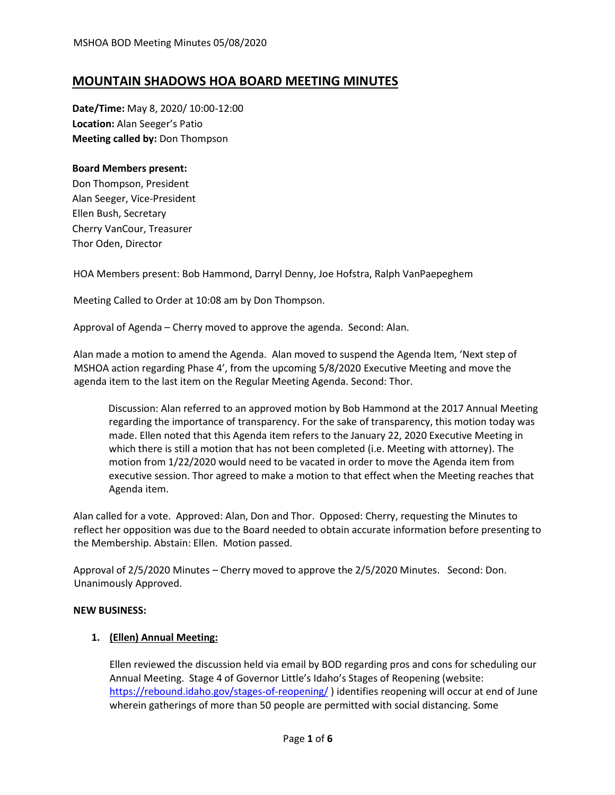# **MOUNTAIN SHADOWS HOA BOARD MEETING MINUTES**

**Date/Time:** May 8, 2020/ 10:00-12:00 **Location:** Alan Seeger's Patio **Meeting called by:** Don Thompson

# **Board Members present:**

Don Thompson, President Alan Seeger, Vice-President Ellen Bush, Secretary Cherry VanCour, Treasurer Thor Oden, Director

HOA Members present: Bob Hammond, Darryl Denny, Joe Hofstra, Ralph VanPaepeghem

Meeting Called to Order at 10:08 am by Don Thompson.

Approval of Agenda – Cherry moved to approve the agenda. Second: Alan.

Alan made a motion to amend the Agenda. Alan moved to suspend the Agenda Item, 'Next step of MSHOA action regarding Phase 4', from the upcoming 5/8/2020 Executive Meeting and move the agenda item to the last item on the Regular Meeting Agenda. Second: Thor.

Discussion: Alan referred to an approved motion by Bob Hammond at the 2017 Annual Meeting regarding the importance of transparency. For the sake of transparency, this motion today was made. Ellen noted that this Agenda item refers to the January 22, 2020 Executive Meeting in which there is still a motion that has not been completed (i.e. Meeting with attorney). The motion from 1/22/2020 would need to be vacated in order to move the Agenda item from executive session. Thor agreed to make a motion to that effect when the Meeting reaches that Agenda item.

Alan called for a vote. Approved: Alan, Don and Thor. Opposed: Cherry, requesting the Minutes to reflect her opposition was due to the Board needed to obtain accurate information before presenting to the Membership. Abstain: Ellen. Motion passed.

Approval of 2/5/2020 Minutes – Cherry moved to approve the 2/5/2020 Minutes. Second: Don. Unanimously Approved.

## **NEW BUSINESS:**

# **1. (Ellen) Annual Meeting:**

Ellen reviewed the discussion held via email by BOD regarding pros and cons for scheduling our Annual Meeting. Stage 4 of Governor Little's Idaho's Stages of Reopening (website: <https://rebound.idaho.gov/stages-of-reopening/> ) identifies reopening will occur at end of June wherein gatherings of more than 50 people are permitted with social distancing. Some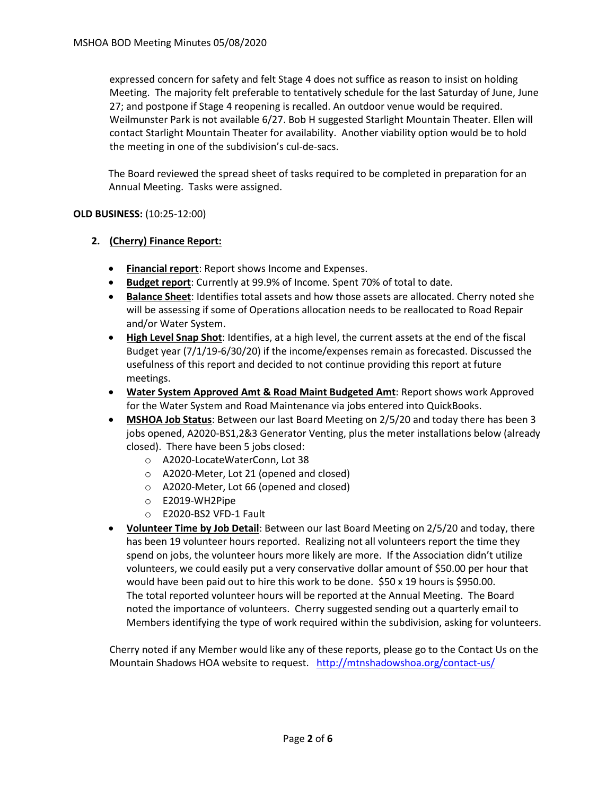expressed concern for safety and felt Stage 4 does not suffice as reason to insist on holding Meeting. The majority felt preferable to tentatively schedule for the last Saturday of June, June 27; and postpone if Stage 4 reopening is recalled. An outdoor venue would be required. Weilmunster Park is not available 6/27. Bob H suggested Starlight Mountain Theater. Ellen will contact Starlight Mountain Theater for availability. Another viability option would be to hold the meeting in one of the subdivision's cul-de-sacs.

The Board reviewed the spread sheet of tasks required to be completed in preparation for an Annual Meeting. Tasks were assigned.

# **OLD BUSINESS:** (10:25-12:00)

# **2. (Cherry) Finance Report:**

- **Financial report**: Report shows Income and Expenses.
- **Budget report**: Currently at 99.9% of Income. Spent 70% of total to date.
- **Balance Sheet**: Identifies total assets and how those assets are allocated. Cherry noted she will be assessing if some of Operations allocation needs to be reallocated to Road Repair and/or Water System.
- **High Level Snap Shot**: Identifies, at a high level, the current assets at the end of the fiscal Budget year (7/1/19-6/30/20) if the income/expenses remain as forecasted. Discussed the usefulness of this report and decided to not continue providing this report at future meetings.
- **Water System Approved Amt & Road Maint Budgeted Amt**: Report shows work Approved for the Water System and Road Maintenance via jobs entered into QuickBooks.
- **MSHOA Job Status**: Between our last Board Meeting on 2/5/20 and today there has been 3 jobs opened, A2020-BS1,2&3 Generator Venting, plus the meter installations below (already closed). There have been 5 jobs closed:
	- o A2020-LocateWaterConn, Lot 38
	- o A2020-Meter, Lot 21 (opened and closed)
	- o A2020-Meter, Lot 66 (opened and closed)
	- o E2019-WH2Pipe
	- o E2020-BS2 VFD-1 Fault
- **Volunteer Time by Job Detail**: Between our last Board Meeting on 2/5/20 and today, there has been 19 volunteer hours reported. Realizing not all volunteers report the time they spend on jobs, the volunteer hours more likely are more. If the Association didn't utilize volunteers, we could easily put a very conservative dollar amount of \$50.00 per hour that would have been paid out to hire this work to be done. \$50 x 19 hours is \$950.00. The total reported volunteer hours will be reported at the Annual Meeting. The Board noted the importance of volunteers. Cherry suggested sending out a quarterly email to Members identifying the type of work required within the subdivision, asking for volunteers.

Cherry noted if any Member would like any of these reports, please go to the Contact Us on the Mountain Shadows HOA website to request. <http://mtnshadowshoa.org/contact-us/>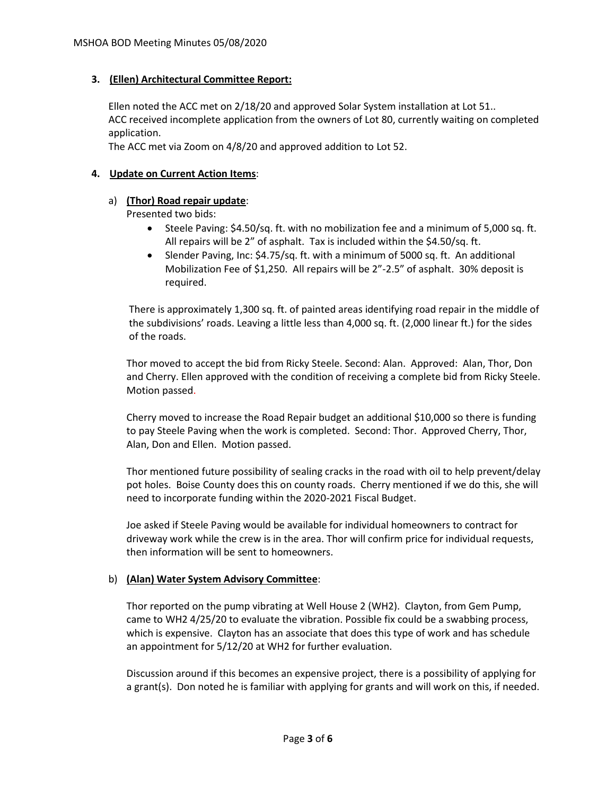## **3. (Ellen) Architectural Committee Report:**

Ellen noted the ACC met on 2/18/20 and approved Solar System installation at Lot 51.. ACC received incomplete application from the owners of Lot 80, currently waiting on completed application.

The ACC met via Zoom on 4/8/20 and approved addition to Lot 52.

## **4. Update on Current Action Items**:

# a) **(Thor) Road repair update**:

Presented two bids:

- Steele Paving: \$4.50/sq. ft. with no mobilization fee and a minimum of 5,000 sq. ft. All repairs will be 2" of asphalt. Tax is included within the \$4.50/sq. ft.
- Slender Paving, Inc: \$4.75/sq. ft. with a minimum of 5000 sq. ft. An additional Mobilization Fee of \$1,250. All repairs will be 2"-2.5" of asphalt. 30% deposit is required.

There is approximately 1,300 sq. ft. of painted areas identifying road repair in the middle of the subdivisions' roads. Leaving a little less than 4,000 sq. ft. (2,000 linear ft.) for the sides of the roads.

Thor moved to accept the bid from Ricky Steele. Second: Alan. Approved: Alan, Thor, Don and Cherry. Ellen approved with the condition of receiving a complete bid from Ricky Steele. Motion passed.

Cherry moved to increase the Road Repair budget an additional \$10,000 so there is funding to pay Steele Paving when the work is completed. Second: Thor. Approved Cherry, Thor, Alan, Don and Ellen. Motion passed.

Thor mentioned future possibility of sealing cracks in the road with oil to help prevent/delay pot holes. Boise County does this on county roads. Cherry mentioned if we do this, she will need to incorporate funding within the 2020-2021 Fiscal Budget.

Joe asked if Steele Paving would be available for individual homeowners to contract for driveway work while the crew is in the area. Thor will confirm price for individual requests, then information will be sent to homeowners.

## b) **(Alan) Water System Advisory Committee**:

Thor reported on the pump vibrating at Well House 2 (WH2). Clayton, from Gem Pump, came to WH2 4/25/20 to evaluate the vibration. Possible fix could be a swabbing process, which is expensive. Clayton has an associate that does this type of work and has schedule an appointment for 5/12/20 at WH2 for further evaluation.

Discussion around if this becomes an expensive project, there is a possibility of applying for a grant(s). Don noted he is familiar with applying for grants and will work on this, if needed.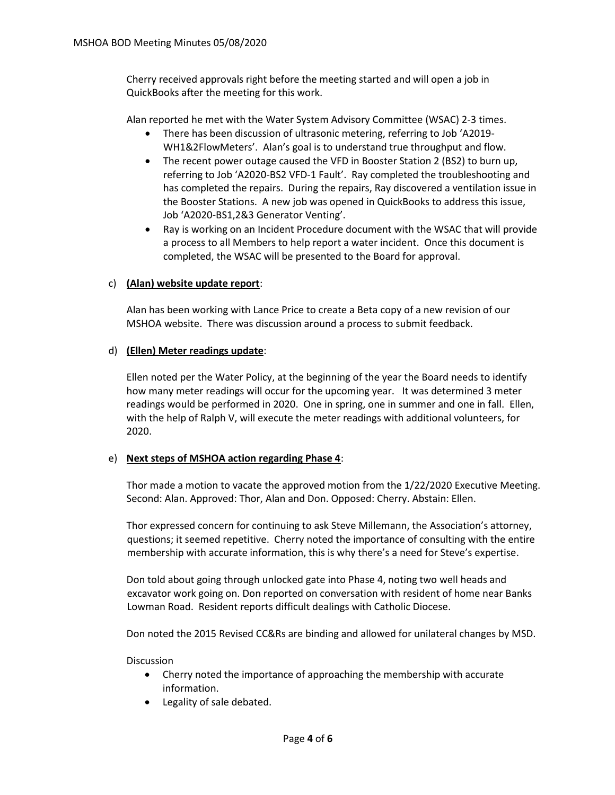Cherry received approvals right before the meeting started and will open a job in QuickBooks after the meeting for this work.

Alan reported he met with the Water System Advisory Committee (WSAC) 2-3 times.

- There has been discussion of ultrasonic metering, referring to Job 'A2019- WH1&2FlowMeters'. Alan's goal is to understand true throughput and flow.
- The recent power outage caused the VFD in Booster Station 2 (BS2) to burn up, referring to Job 'A2020-BS2 VFD-1 Fault'. Ray completed the troubleshooting and has completed the repairs. During the repairs, Ray discovered a ventilation issue in the Booster Stations. A new job was opened in QuickBooks to address this issue, Job 'A2020-BS1,2&3 Generator Venting'.
- Ray is working on an Incident Procedure document with the WSAC that will provide a process to all Members to help report a water incident. Once this document is completed, the WSAC will be presented to the Board for approval.

## c) **(Alan) website update report**:

Alan has been working with Lance Price to create a Beta copy of a new revision of our MSHOA website. There was discussion around a process to submit feedback.

## d) **(Ellen) Meter readings update**:

Ellen noted per the Water Policy, at the beginning of the year the Board needs to identify how many meter readings will occur for the upcoming year. It was determined 3 meter readings would be performed in 2020. One in spring, one in summer and one in fall. Ellen, with the help of Ralph V, will execute the meter readings with additional volunteers, for 2020.

## e) **Next steps of MSHOA action regarding Phase 4**:

Thor made a motion to vacate the approved motion from the 1/22/2020 Executive Meeting. Second: Alan. Approved: Thor, Alan and Don. Opposed: Cherry. Abstain: Ellen.

Thor expressed concern for continuing to ask Steve Millemann, the Association's attorney, questions; it seemed repetitive. Cherry noted the importance of consulting with the entire membership with accurate information, this is why there's a need for Steve's expertise.

Don told about going through unlocked gate into Phase 4, noting two well heads and excavator work going on. Don reported on conversation with resident of home near Banks Lowman Road. Resident reports difficult dealings with Catholic Diocese.

Don noted the 2015 Revised CC&Rs are binding and allowed for unilateral changes by MSD.

**Discussion** 

- Cherry noted the importance of approaching the membership with accurate information.
- Legality of sale debated.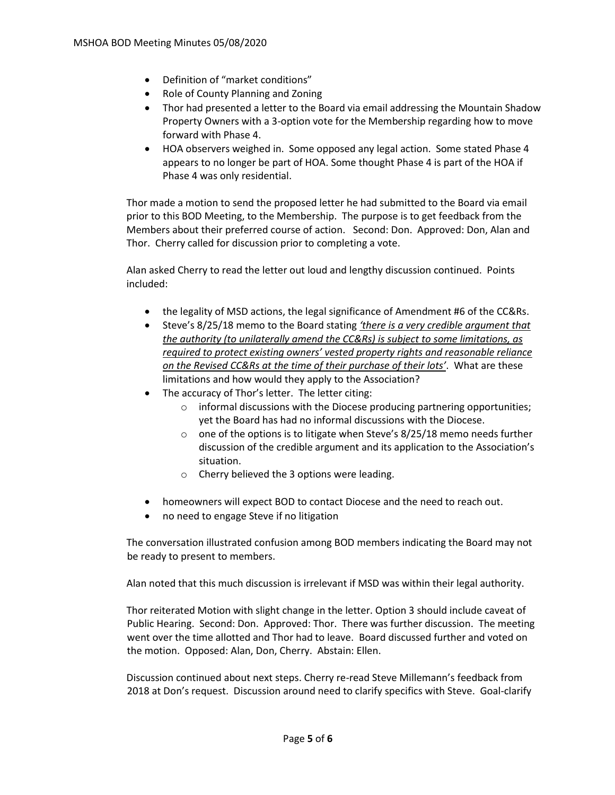- Definition of "market conditions"
- Role of County Planning and Zoning
- Thor had presented a letter to the Board via email addressing the Mountain Shadow Property Owners with a 3-option vote for the Membership regarding how to move forward with Phase 4.
- HOA observers weighed in. Some opposed any legal action. Some stated Phase 4 appears to no longer be part of HOA. Some thought Phase 4 is part of the HOA if Phase 4 was only residential.

Thor made a motion to send the proposed letter he had submitted to the Board via email prior to this BOD Meeting, to the Membership. The purpose is to get feedback from the Members about their preferred course of action. Second: Don. Approved: Don, Alan and Thor. Cherry called for discussion prior to completing a vote.

Alan asked Cherry to read the letter out loud and lengthy discussion continued. Points included:

- the legality of MSD actions, the legal significance of Amendment #6 of the CC&Rs.
- Steve's 8/25/18 memo to the Board stating *'there is a very credible argument that the authority (to unilaterally amend the CC&Rs) is subject to some limitations, as required to protect existing owners' vested property rights and reasonable reliance on the Revised CC&Rs at the time of their purchase of their lots'*. What are these limitations and how would they apply to the Association?
- The accuracy of Thor's letter. The letter citing:
	- $\circ$  informal discussions with the Diocese producing partnering opportunities; yet the Board has had no informal discussions with the Diocese.
	- $\circ$  one of the options is to litigate when Steve's 8/25/18 memo needs further discussion of the credible argument and its application to the Association's situation.
	- o Cherry believed the 3 options were leading.
- homeowners will expect BOD to contact Diocese and the need to reach out.
- no need to engage Steve if no litigation

The conversation illustrated confusion among BOD members indicating the Board may not be ready to present to members.

Alan noted that this much discussion is irrelevant if MSD was within their legal authority.

Thor reiterated Motion with slight change in the letter. Option 3 should include caveat of Public Hearing. Second: Don. Approved: Thor. There was further discussion. The meeting went over the time allotted and Thor had to leave. Board discussed further and voted on the motion. Opposed: Alan, Don, Cherry. Abstain: Ellen.

Discussion continued about next steps. Cherry re-read Steve Millemann's feedback from 2018 at Don's request. Discussion around need to clarify specifics with Steve. Goal-clarify